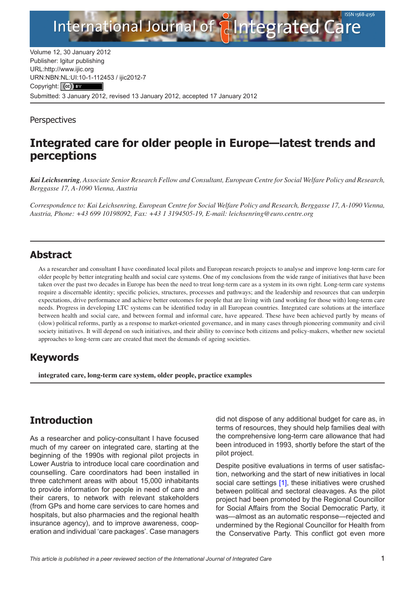

Volume 12, 30 January 2012 Publisher: Igitur publishing URL[:http://www.ijic.org](http://www.ijic.org) URN:NBN[:NL:UI:10-1-1124](http://creativecommons.org/licenses/by/3.0/)53 / ijic2012-7 Copyright: (cc) BY Submitted: 3 January 2012, revised 13 January 2012, accepted 17 January 2012

**Perspectives** 

# **Integrated care for older people in Europe—latest trends and perceptions**

*Kai Leichsenring, Associate Senior Research Fellow and Consultant, European Centre for Social Welfare Policy and Research, Berggasse 17, A-1090 Vienna, Austria*

*Correspondence to: Kai Leichsenring, European Centre for Social Welfare Policy and Research, Berggasse 17, A-1090 Vienna, Austria, Phone: +43 699 10198092, Fax: +43 1 3194505-19, E-mail: [leichsenring@euro.centre.org](mailto:leichsenring@euro.centre.org)*

#### **Abstract**

As a researcher and consultant I have coordinated local pilots and European research projects to analyse and improve long-term care for older people by better integrating health and social care systems. One of my conclusions from the wide range of initiatives that have been taken over the past two decades in Europe has been the need to treat long-term care as a system in its own right. Long-term care systems require a discernable identity; specific policies, structures, processes and pathways; and the leadership and resources that can underpin expectations, drive performance and achieve better outcomes for people that are living with (and working for those with) long-term care needs. Progress in developing LTC systems can be identified today in all European countries. Integrated care solutions at the interface between health and social care, and between formal and informal care, have appeared. These have been achieved partly by means of (slow) political reforms, partly as a response to market-oriented governance, and in many cases through pioneering community and civil society initiatives. It will depend on such initiatives, and their ability to convince both citizens and policy-makers, whether new societal approaches to long-term care are created that meet the demands of ageing societies.

#### **Keywords**

**integrated care, long-term care system, older people, practice examples**

## **Introduction**

As a researcher and policy-consultant I have focused much of my career on integrated care, starting at the beginning of the 1990s with regional pilot projects in Lower Austria to introduce local care coordination and counselling. Care coordinators had been installed in three catchment areas with about 15,000 inhabitants to provide information for people in need of care and their carers, to network with relevant stakeholders (from GPs and home care services to care homes and hospitals, but also pharmacies and the regional health insurance agency), and to improve awareness, cooperation and individual 'care packages'. Case managers did not dispose of any additional budget for care as, in terms of resources, they should help families deal with the comprehensive long-term care allowance that had been introduced in 1993, shortly before the start of the pilot project.

Despite positive evaluations in terms of user satisfaction, networking and the start of new initiatives in local social care settings [\[1\]](#page-3-0), these initiatives were crushed between political and sectoral cleavages. As the pilot project had been promoted by the Regional Councillor for Social Affairs from the Social Democratic Party, it was—almost as an automatic response—rejected and undermined by the Regional Councillor for Health from the Conservative Party. This conflict got even more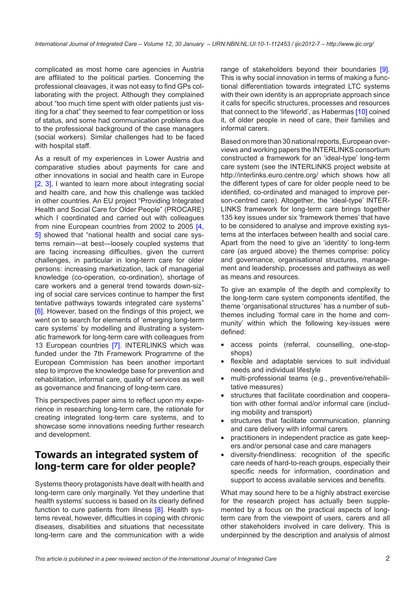complicated as most home care agencies in Austria are affiliated to the political parties. Concerning the professional cleavages, it was not easy to find GPs collaborating with the project. Although they complained about "too much time spent with older patients just visiting for a chat" they seemed to fear competition or loss of status, and some had communication problems due to the professional background of the case managers (social workers). Similar challenges had to be faced with hospital staff.

As a result of my experiences in Lower Austria and comparative studies about payments for care and other innovations in social and health care in Europe [\[2,](#page-3-0) [3\]](#page-3-0). I wanted to learn more about integrating social and health care, and how this challenge was tackled in other countries. An EU project "Providing Integrated Health and Social Care for Older People" (PROCARE) which I coordinated and carried out with colleagues from nine European countries from 2002 to 2005 [[4](#page-3-0), [5](#page-3-0)] showed that "national health and social care systems remain—at best—loosely coupled systems that are facing increasing difficulties, given the current challenges, in particular in long-term care for older persons: increasing marketization, lack of managerial knowledge (co-operation, co-ordination), shortage of care workers and a general trend towards down-sizing of social care services continue to hamper the first tentative pathways towards integrated care systems" [\[6\]](#page-3-0). However, based on the findings of this project, we went on to search for elements of 'emerging long-term care systems' by modelling and illustrating a systematic framework for long-term care with colleagues from 13 European countries [[7](#page-3-0)]. INTERLINKS which was funded under the 7th Framework Programme of the European Commission has been another important step to improve the knowledge base for prevention and rehabilitation, informal care, quality of services as well as governance and financing of long-term care.

This perspectives paper aims to reflect upon my experience in researching long-term care, the rationale for creating integrated long-term care systems, and to showcase some innovations needing further research and development.

## **Towards an integrated system of long-term care for older people?**

Systems theory protagonists have dealt with health and long-term care only marginally. Yet they underline that health systems' success is based on its clearly defined function to cure patients from illness  $[8]$  $[8]$  $[8]$ . Health systems reveal, however, difficulties in coping with chronic diseases, disabilities and situations that necessitate long-term care and the communication with a wide range of stakeholders beyond their boundaries [[9](#page-3-0)]. This is why social innovation in terms of making a functional differentiation towards integrated LTC systems with their own identity is an appropriate approach since it calls for specific structures, processes and resources that connect to the 'lifeworld', as Habermas [\[10](#page-3-0)] coined it, of older people in need of care, their families and informal carers.

Based on more than 30 national reports, European overviews and working papers the INTERLINKS consortium constructed a framework for an 'ideal-type' long-term care system (see the INTERLINKS project website at <http://interlinks.euro.centre.org/> which shows how all the different types of care for older people need to be identified, co-ordinated and managed to improve person-centred care). Altogether, the 'ideal-type' INTER-LINKS framework for long-term care brings together 135 key issues under six 'framework themes' that have to be considered to analyse and improve existing systems at the interfaces between health and social care. Apart from the need to give an 'identity' to long-term care (as argued above) the themes comprise: policy and governance, organisational structures, management and leadership, processes and pathways as well as means and resources.

To give an example of the depth and complexity to the long-term care system components identified, the theme 'organisational structures' has a number of subthemes including 'formal care in the home and community' within which the following key-issues were defined:

- •• access points (referral, counselling, one-stopshops)
- •• flexible and adaptable services to suit individual needs and individual lifestyle
- multi-professional teams (e.g., preventive/rehabilitative measures)
- structures that facilitate coordination and cooperation with other formal and/or informal care (including mobility and transport)
- •• structures that facilitate communication, planning and care delivery with informal carers
- practitioners in independent practice as gate keepers and/or personal case and care managers
- •• diversity-friendliness: recognition of the specific care needs of hard-to-reach groups, especially their specific needs for information, coordination and support to access available services and benefits.

What may sound here to be a highly abstract exercise for the research project has actually been supplemented by a focus on the practical aspects of longterm care from the viewpoint of users, carers and all other stakeholders involved in care delivery. This is underpinned by the description and analysis of almost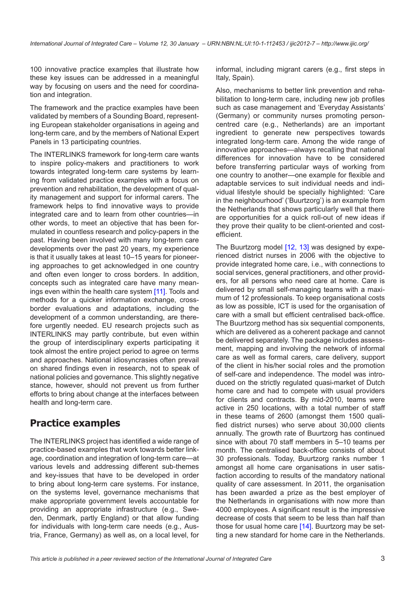100 innovative practice examples that illustrate how these key issues can be addressed in a meaningful way by focusing on users and the need for coordination and integration.

The framework and the practice examples have been validated by members of a Sounding Board, representing European stakeholder organisations in ageing and long-term care, and by the members of National Expert Panels in 13 participating countries.

The INTERLINKS framework for long-term care wants to inspire policy-makers and practitioners to work towards integrated long-term care systems by learning from validated practice examples with a focus on prevention and rehabilitation, the development of quality management and support for informal carers. The framework helps to find innovative ways to provide integrated care and to learn from other countries—in other words, to meet an objective that has been formulated in countless research and policy-papers in the past. Having been involved with many long-term care developments over the past 20 years, my experience is that it usually takes at least 10–15 years for pioneering approaches to get acknowledged in one country and often even longer to cross borders. In addition, concepts such as integrated care have many meanings even within the health care system [\[11\]](#page-3-0). Tools and methods for a quicker information exchange, crossborder evaluations and adaptations, including the development of a common understanding, are therefore urgently needed. EU research projects such as INTERLINKS may partly contribute, but even within the group of interdisciplinary experts participating it took almost the entire project period to agree on terms and approaches. National idiosyncrasies often prevail on shared findings even in research, not to speak of national policies and governance. This slightly negative stance, however, should not prevent us from further efforts to bring about change at the interfaces between health and long-term care.

# **Practice examples**

The INTERLINKS project has identified a wide range of practice-based examples that work towards better linkage, coordination and integration of long-term care—at various levels and addressing different sub-themes and key-issues that have to be developed in order to bring about long-term care systems. For instance, on the systems level, governance mechanisms that make appropriate government levels accountable for providing an appropriate infrastructure (e.g., Sweden, Denmark, partly England) or that allow funding for individuals with long-term care needs (e.g., Austria, France, Germany) as well as, on a local level, for

informal, including migrant carers (e.g., first steps in Italy, Spain).

Also, mechanisms to better link prevention and rehabilitation to long-term care, including new job profiles such as case management and 'Everyday Assistants' (Germany) or community nurses promoting personcentred care (e.g., Netherlands) are an important ingredient to generate new perspectives towards integrated long-term care. Among the wide range of innovative approaches—always recalling that national differences for innovation have to be considered before transferring particular ways of working from one country to another—one example for flexible and adaptable services to suit individual needs and individual lifestyle should be specially highlighted: 'Care in the neighbourhood' ('Buurtzorg') is an example from the Netherlands that shows particularly well that there are opportunities for a quick roll-out of new ideas if they prove their quality to be client-oriented and costefficient.

The Buurtzorg model [[12](#page-3-0), [13](#page-3-0)] was designed by experienced district nurses in 2006 with the objective to provide integrated home care, i.e., with connections to social services, general practitioners, and other providers, for all persons who need care at home. Care is delivered by small self-managing teams with a maximum of 12 professionals. To keep organisational costs as low as possible, ICT is used for the organisation of care with a small but efficient centralised back-office. The Buurtzorg method has six sequential components, which are delivered as a coherent package and cannot be delivered separately. The package includes assessment, mapping and involving the network of informal care as well as formal carers, care delivery, support of the client in his/her social roles and the promotion of self-care and independence. The model was introduced on the strictly regulated quasi-market of Dutch home care and had to compete with usual providers for clients and contracts. By mid-2010, teams were active in 250 locations, with a total number of staff in these teams of 2600 (amongst them 1500 qualified district nurses) who serve about 30,000 clients annually. The growth rate of Buurtzorg has continued since with about 70 staff members in 5–10 teams per month. The centralised back-office consists of about 30 professionals. Today, Buurtzorg ranks number 1 amongst all home care organisations in user satisfaction according to results of the mandatory national quality of care assessment. In 2011, the organisation has been awarded a prize as the best employer of the Netherlands in organisations with now more than 4000 employees. A significant result is the impressive decrease of costs that seem to be less than half than those for usual home care [[14\]](#page-3-0). Buurtzorg may be setting a new standard for home care in the Netherlands.